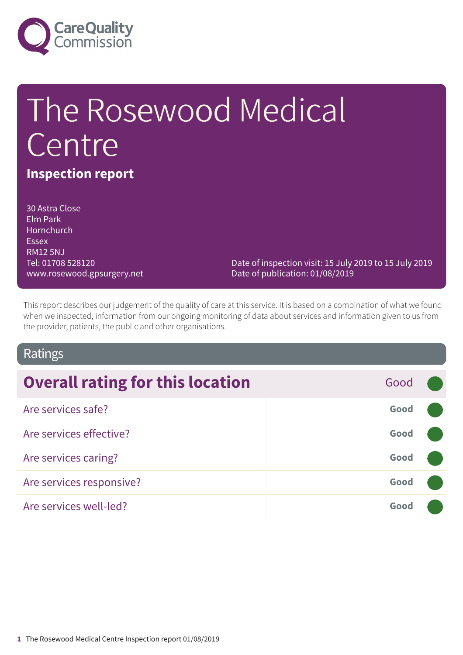

# The Rosewood Medical Centre

# **Inspection report**

30 Astra Close Elm Park **Hornchurch Essex** RM12 5NJ Tel: 01708 528120 www.rosewood.gpsurgery.net

Date of inspection visit: 15 July 2019 to 15 July 2019 Date of publication: 01/08/2019

This report describes our judgement of the quality of care at this service. It is based on a combination of what we found when we inspected, information from our ongoing monitoring of data about services and information given to us from the provider, patients, the public and other organisations.

### Ratings

| <b>Overall rating for this location</b> | Good |  |
|-----------------------------------------|------|--|
| Are services safe?                      | Good |  |
| Are services effective?                 | Good |  |
| Are services caring?                    | Good |  |
| Are services responsive?                | Good |  |
| Are services well-led?                  | Good |  |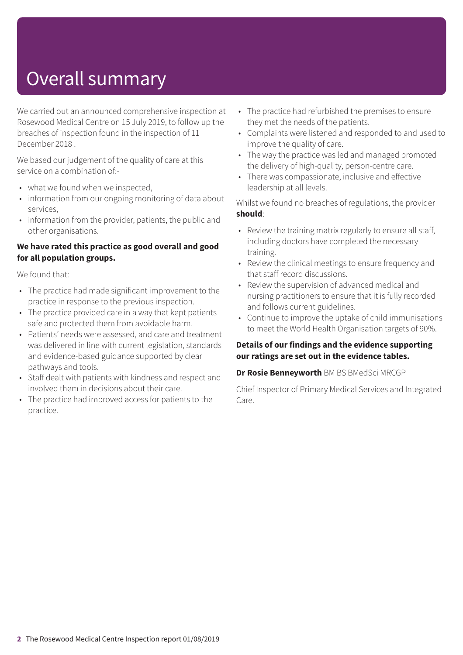# Overall summary

We carried out an announced comprehensive inspection at Rosewood Medical Centre on 15 July 2019, to follow up the breaches of inspection found in the inspection of 11 December 2018 .

We based our judgement of the quality of care at this service on a combination of:-

- what we found when we inspected,
- information from our ongoing monitoring of data about services,
- information from the provider, patients, the public and other organisations.

#### **We have rated this practice as good overall and good for all population groups.**

We found that:

- The practice had made significant improvement to the practice in response to the previous inspection.
- The practice provided care in a way that kept patients safe and protected them from avoidable harm.
- Patients' needs were assessed, and care and treatment was delivered in line with current legislation, standards and evidence-based guidance supported by clear pathways and tools.
- Staff dealt with patients with kindness and respect and involved them in decisions about their care.
- The practice had improved access for patients to the practice.
- The practice had refurbished the premises to ensure they met the needs of the patients.
- Complaints were listened and responded to and used to improve the quality of care.
- The way the practice was led and managed promoted the delivery of high-quality, person-centre care.
- There was compassionate, inclusive and effective leadership at all levels.

Whilst we found no breaches of regulations, the provider **should**:

- Review the training matrix regularly to ensure all staff, including doctors have completed the necessary training.
- Review the clinical meetings to ensure frequency and that staff record discussions.
- Review the supervision of advanced medical and nursing practitioners to ensure that it is fully recorded and follows current guidelines.
- Continue to improve the uptake of child immunisations to meet the World Health Organisation targets of 90%.

#### **Details of our findings and the evidence supporting our ratings are set out in the evidence tables.**

**Dr Rosie Benneyworth** BM BS BMedSci MRCGP

Chief Inspector of Primary Medical Services and Integrated Care.